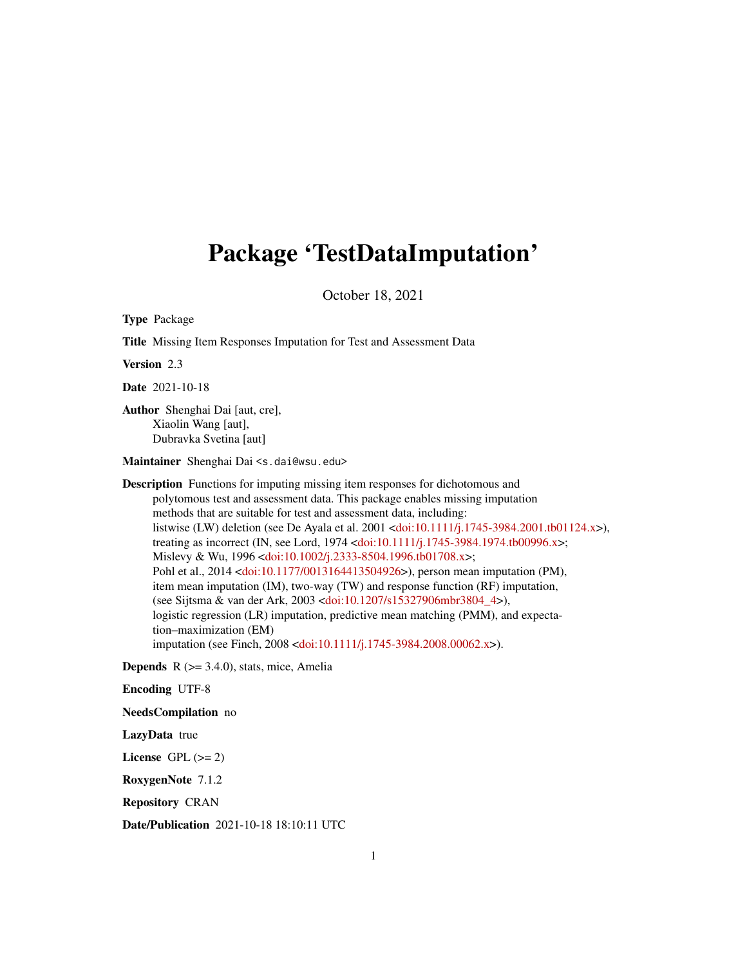## Package 'TestDataImputation'

October 18, 2021

Type Package Title Missing Item Responses Imputation for Test and Assessment Data Version 2.3 Date 2021-10-18 Author Shenghai Dai [aut, cre], Xiaolin Wang [aut], Dubravka Svetina [aut] Maintainer Shenghai Dai <s.dai@wsu.edu> Description Functions for imputing missing item responses for dichotomous and polytomous test and assessment data. This package enables missing imputation methods that are suitable for test and assessment data, including: listwise (LW) deletion (see De Ayala et al. 2001 [<doi:10.1111/j.1745-3984.2001.tb01124.x>](https://doi.org/10.1111/j.1745-3984.2001.tb01124.x)), treating as incorrect (IN, see Lord, 1974 [<doi:10.1111/j.1745-3984.1974.tb00996.x>](https://doi.org/10.1111/j.1745-3984.1974.tb00996.x); Mislevy & Wu, 1996 [<doi:10.1002/j.2333-8504.1996.tb01708.x>](https://doi.org/10.1002/j.2333-8504.1996.tb01708.x); Pohl et al., 2014 [<doi:10.1177/0013164413504926>](https://doi.org/10.1177/0013164413504926)), person mean imputation (PM), item mean imputation (IM), two-way (TW) and response function (RF) imputation, (see Sijtsma & van der Ark, 2003 [<doi:10.1207/s15327906mbr3804\\_4>](https://doi.org/10.1207/s15327906mbr3804_4)), logistic regression (LR) imputation, predictive mean matching (PMM), and expectation–maximization (EM) imputation (see Finch, 2008 [<doi:10.1111/j.1745-3984.2008.00062.x>](https://doi.org/10.1111/j.1745-3984.2008.00062.x)). **Depends**  $R$  ( $>= 3.4.0$ ), stats, mice, Amelia Encoding UTF-8

NeedsCompilation no

LazyData true

License GPL  $(>= 2)$ 

RoxygenNote 7.1.2

Repository CRAN

Date/Publication 2021-10-18 18:10:11 UTC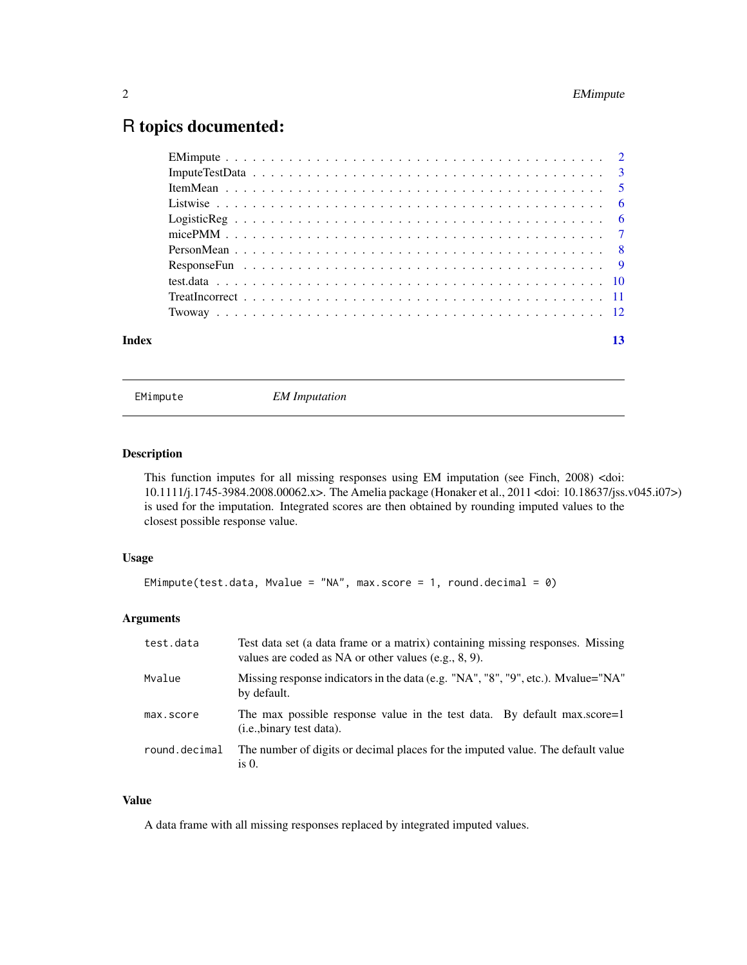### <span id="page-1-0"></span>R topics documented:

| Index | 13 |
|-------|----|
|       |    |

EMimpute *EM Imputation*

#### Description

This function imputes for all missing responses using EM imputation (see Finch, 2008) <doi: 10.1111/j.1745-3984.2008.00062.x>. The Amelia package (Honaker et al., 2011 <doi: 10.18637/jss.v045.i07>) is used for the imputation. Integrated scores are then obtained by rounding imputed values to the closest possible response value.

#### Usage

```
EMimpute(test.data, Mvalue = "NA", max.score = 1, round.decimal = 0)
```
#### Arguments

| test.data     | Test data set (a data frame or a matrix) containing missing responses. Missing<br>values are coded as NA or other values (e.g., $8, 9$ ). |
|---------------|-------------------------------------------------------------------------------------------------------------------------------------------|
| Mvalue        | Missing response indicators in the data (e.g. "NA", "8", "9", etc.). Mvalue="NA"<br>by default.                                           |
| max.score     | The max possible response value in the test data. By default max.score=1<br>( <i>i.e.</i> , binary test data).                            |
| round.decimal | The number of digits or decimal places for the imputed value. The default value<br>is $0$ .                                               |

#### Value

A data frame with all missing responses replaced by integrated imputed values.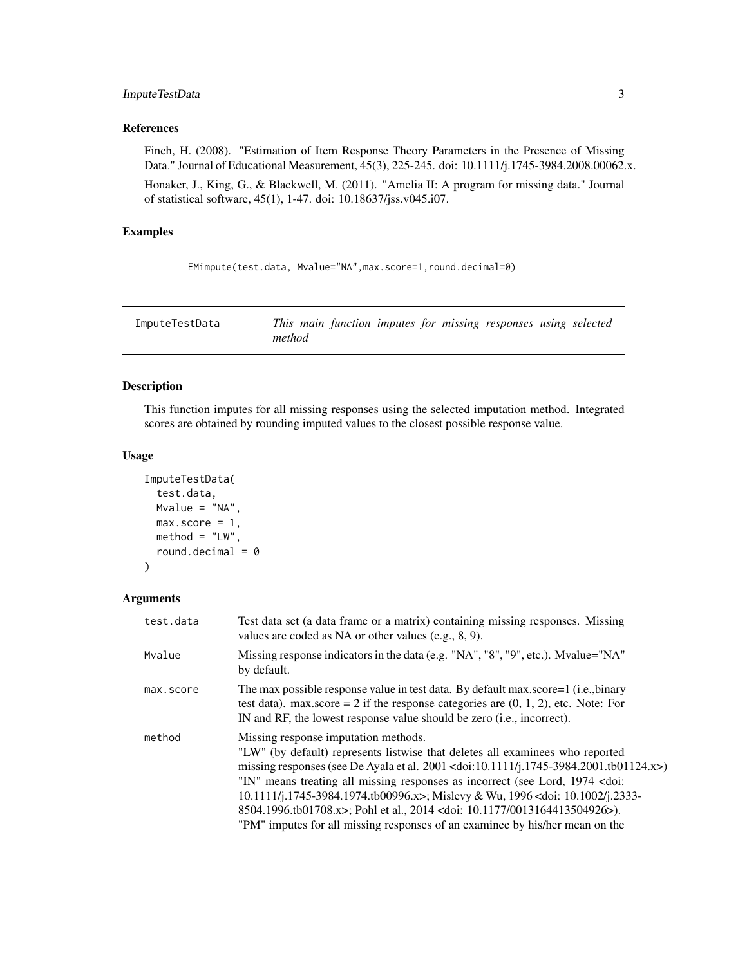#### <span id="page-2-0"></span>ImputeTestData 3

#### References

Finch, H. (2008). "Estimation of Item Response Theory Parameters in the Presence of Missing Data." Journal of Educational Measurement, 45(3), 225-245. doi: 10.1111/j.1745-3984.2008.00062.x.

Honaker, J., King, G., & Blackwell, M. (2011). "Amelia II: A program for missing data." Journal of statistical software, 45(1), 1-47. doi: 10.18637/jss.v045.i07.

#### Examples

```
EMimpute(test.data, Mvalue="NA",max.score=1,round.decimal=0)
```
ImputeTestData *This main function imputes for missing responses using selected method*

#### Description

This function imputes for all missing responses using the selected imputation method. Integrated scores are obtained by rounding imputed values to the closest possible response value.

#### Usage

```
ImputeTestData(
  test.data,
 Mvalue = "NA",
 max_score = 1,
 method = "LW",round.decimal = \theta)
```
#### Arguments

| test.data | Test data set (a data frame or a matrix) containing missing responses. Missing<br>values are coded as NA or other values (e.g., 8, 9).                                                                                                                                                                                                                                                                                                                                                                                                                        |
|-----------|---------------------------------------------------------------------------------------------------------------------------------------------------------------------------------------------------------------------------------------------------------------------------------------------------------------------------------------------------------------------------------------------------------------------------------------------------------------------------------------------------------------------------------------------------------------|
| Mvalue    | Missing response indicators in the data (e.g. "NA", "8", "9", etc.). Mvalue="NA"<br>by default.                                                                                                                                                                                                                                                                                                                                                                                                                                                               |
| max.score | The max possible response value in test data. By default max.score=1 (i.e., binary<br>test data). max.score = 2 if the response categories are $(0, 1, 2)$ , etc. Note: For<br>IN and RF, the lowest response value should be zero (i.e., incorrect).                                                                                                                                                                                                                                                                                                         |
| method    | Missing response imputation methods.<br>"LW" (by default) represents listwise that deletes all examinees who reported<br>missing responses (see De Ayala et al. 2001 < doi:10.1111/j.1745-3984.2001.tb01124.x>)<br>"IN" means treating all missing responses as incorrect (see Lord, 1974 < doi:<br>10.1111/j.1745-3984.1974.tb00996.x>; Mislevy & Wu, 1996 < doi: 10.1002/j.2333-<br>8504.1996.tb01708.x>; Pohl et al., 2014 <doi: 0013164413504926="" 10.1177="">).<br/>"PM" imputes for all missing responses of an examinee by his/her mean on the</doi:> |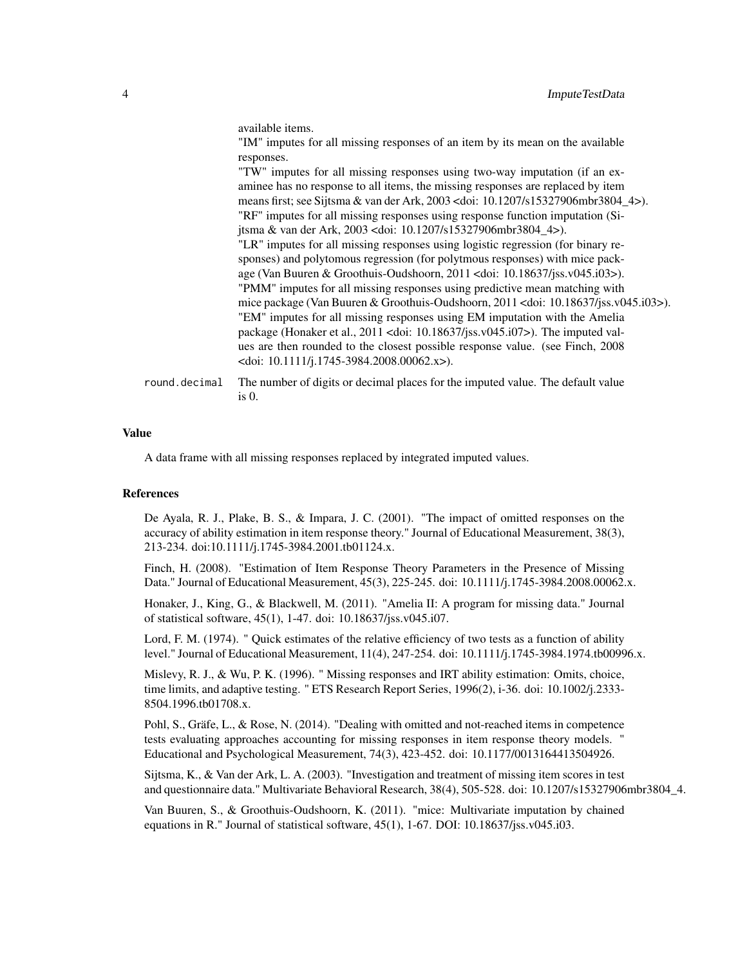available items.

"IM" imputes for all missing responses of an item by its mean on the available responses.

"TW" imputes for all missing responses using two-way imputation (if an examinee has no response to all items, the missing responses are replaced by item means first; see Sijtsma & van der Ark, 2003 <doi: 10.1207/s15327906mbr3804\_4>). "RF" imputes for all missing responses using response function imputation (Sijtsma & van der Ark, 2003 <doi: 10.1207/s15327906mbr3804\_4>). "LR" imputes for all missing responses using logistic regression (for binary responses) and polytomous regression (for polytmous responses) with mice package (Van Buuren & Groothuis-Oudshoorn, 2011 <doi: 10.18637/jss.v045.i03>). "PMM" imputes for all missing responses using predictive mean matching with mice package (Van Buuren & Groothuis-Oudshoorn, 2011 <doi: 10.18637/jss.v045.i03>). "EM" imputes for all missing responses using EM imputation with the Amelia package (Honaker et al., 2011 <doi: 10.18637/jss.v045.i07>). The imputed values are then rounded to the closest possible response value. (see Finch, 2008 <doi: 10.1111/j.1745-3984.2008.00062.x>).

round.decimal The number of digits or decimal places for the imputed value. The default value is 0.

#### Value

A data frame with all missing responses replaced by integrated imputed values.

#### References

De Ayala, R. J., Plake, B. S., & Impara, J. C. (2001). "The impact of omitted responses on the accuracy of ability estimation in item response theory." Journal of Educational Measurement, 38(3), 213-234. doi:10.1111/j.1745-3984.2001.tb01124.x.

Finch, H. (2008). "Estimation of Item Response Theory Parameters in the Presence of Missing Data." Journal of Educational Measurement, 45(3), 225-245. doi: 10.1111/j.1745-3984.2008.00062.x.

Honaker, J., King, G., & Blackwell, M. (2011). "Amelia II: A program for missing data." Journal of statistical software, 45(1), 1-47. doi: 10.18637/jss.v045.i07.

Lord, F. M. (1974). " Quick estimates of the relative efficiency of two tests as a function of ability level." Journal of Educational Measurement, 11(4), 247-254. doi: 10.1111/j.1745-3984.1974.tb00996.x.

Mislevy, R. J., & Wu, P. K. (1996). " Missing responses and IRT ability estimation: Omits, choice, time limits, and adaptive testing. " ETS Research Report Series, 1996(2), i-36. doi: 10.1002/j.2333-8504.1996.tb01708.x.

Pohl, S., Gräfe, L., & Rose, N. (2014). "Dealing with omitted and not-reached items in competence tests evaluating approaches accounting for missing responses in item response theory models. " Educational and Psychological Measurement, 74(3), 423-452. doi: 10.1177/0013164413504926.

Sijtsma, K., & Van der Ark, L. A. (2003). "Investigation and treatment of missing item scores in test and questionnaire data." Multivariate Behavioral Research, 38(4), 505-528. doi: 10.1207/s15327906mbr3804\_4.

Van Buuren, S., & Groothuis-Oudshoorn, K. (2011). "mice: Multivariate imputation by chained equations in R." Journal of statistical software, 45(1), 1-67. DOI: 10.18637/jss.v045.i03.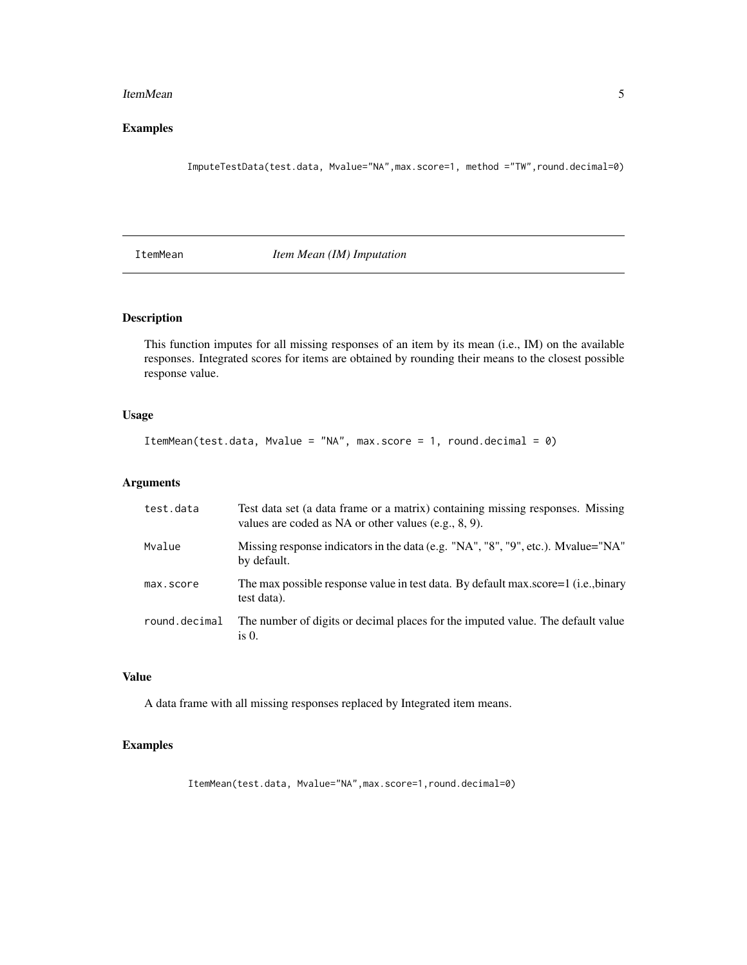#### <span id="page-4-0"></span>ItemMean 5

#### Examples

ImputeTestData(test.data, Mvalue="NA",max.score=1, method ="TW",round.decimal=0)

ItemMean *Item Mean (IM) Imputation*

#### Description

This function imputes for all missing responses of an item by its mean (i.e., IM) on the available responses. Integrated scores for items are obtained by rounding their means to the closest possible response value.

#### Usage

ItemMean(test.data, Mvalue = "NA", max.score = 1, round.decimal = 0)

#### Arguments

| test.data     | Test data set (a data frame or a matrix) containing missing responses. Missing<br>values are coded as NA or other values $(e.g., 8, 9)$ . |
|---------------|-------------------------------------------------------------------------------------------------------------------------------------------|
| Mvalue        | Missing response indicators in the data (e.g. "NA", "8", "9", etc.). Mvalue="NA"<br>by default.                                           |
| max.score     | The max possible response value in test data. By default max score=1 (i.e., binary<br>test data).                                         |
| round.decimal | The number of digits or decimal places for the imputed value. The default value<br>is $0$ .                                               |

#### Value

A data frame with all missing responses replaced by Integrated item means.

#### Examples

ItemMean(test.data, Mvalue="NA",max.score=1,round.decimal=0)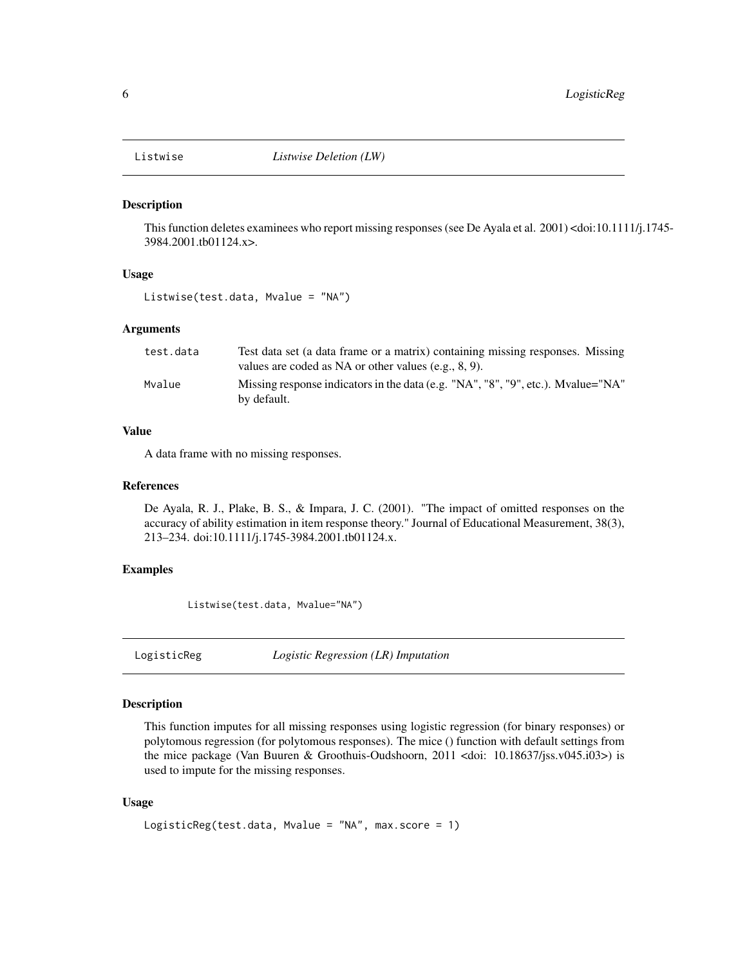<span id="page-5-0"></span>

This function deletes examinees who report missing responses (see De Ayala et al. 2001) <doi:10.1111/j.1745- 3984.2001.tb01124.x>.

#### Usage

Listwise(test.data, Mvalue = "NA")

#### Arguments

| test.data | Test data set (a data frame or a matrix) containing missing responses. Missing                  |
|-----------|-------------------------------------------------------------------------------------------------|
|           | values are coded as NA or other values (e.g., $8, 9$ ).                                         |
| Mvalue    | Missing response indicators in the data (e.g. "NA", "8", "9", etc.). Myalue="NA"<br>by default. |

#### Value

A data frame with no missing responses.

#### References

De Ayala, R. J., Plake, B. S., & Impara, J. C. (2001). "The impact of omitted responses on the accuracy of ability estimation in item response theory." Journal of Educational Measurement, 38(3), 213–234. doi:10.1111/j.1745-3984.2001.tb01124.x.

#### Examples

Listwise(test.data, Mvalue="NA")

LogisticReg *Logistic Regression (LR) Imputation*

#### Description

This function imputes for all missing responses using logistic regression (for binary responses) or polytomous regression (for polytomous responses). The mice () function with default settings from the mice package (Van Buuren & Groothuis-Oudshoorn, 2011 <doi: 10.18637/jss.v045.i03>) is used to impute for the missing responses.

#### Usage

```
LogisticReg(test.data, Mvalue = "NA", max.score = 1)
```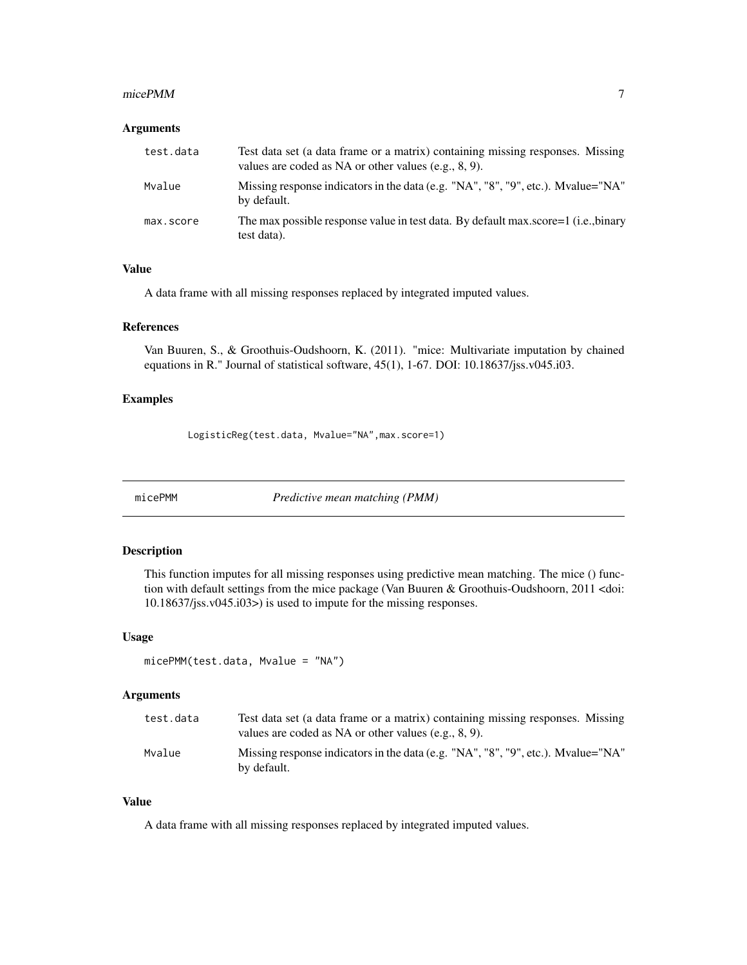#### <span id="page-6-0"></span>micePMM 7

#### Arguments

| test.data | Test data set (a data frame or a matrix) containing missing responses. Missing<br>values are coded as NA or other values (e.g., $8, 9$ ). |
|-----------|-------------------------------------------------------------------------------------------------------------------------------------------|
| Mvalue    | Missing response indicators in the data (e.g. $\mu$ NA", "8", "9", etc.). Myalue="NA"<br>by default.                                      |
| max.score | The max possible response value in test data. By default max score=1 (i.e., binary<br>test data).                                         |

#### Value

A data frame with all missing responses replaced by integrated imputed values.

#### References

Van Buuren, S., & Groothuis-Oudshoorn, K. (2011). "mice: Multivariate imputation by chained equations in R." Journal of statistical software, 45(1), 1-67. DOI: 10.18637/jss.v045.i03.

#### Examples

LogisticReg(test.data, Mvalue="NA",max.score=1)

micePMM *Predictive mean matching (PMM)*

#### Description

This function imputes for all missing responses using predictive mean matching. The mice () function with default settings from the mice package (Van Buuren & Groothuis-Oudshoorn, 2011 <doi: 10.18637/jss.v045.i03>) is used to impute for the missing responses.

#### Usage

```
micePMM(test.data, Mvalue = "NA")
```
#### Arguments

| test.data | Test data set (a data frame or a matrix) containing missing responses. Missing<br>values are coded as NA or other values $(e.g., 8, 9)$ . |
|-----------|-------------------------------------------------------------------------------------------------------------------------------------------|
| Mvalue    | Missing response indicators in the data (e.g. $\mu$ NA", "8", "9", etc.). Myalue="NA"<br>by default.                                      |

#### Value

A data frame with all missing responses replaced by integrated imputed values.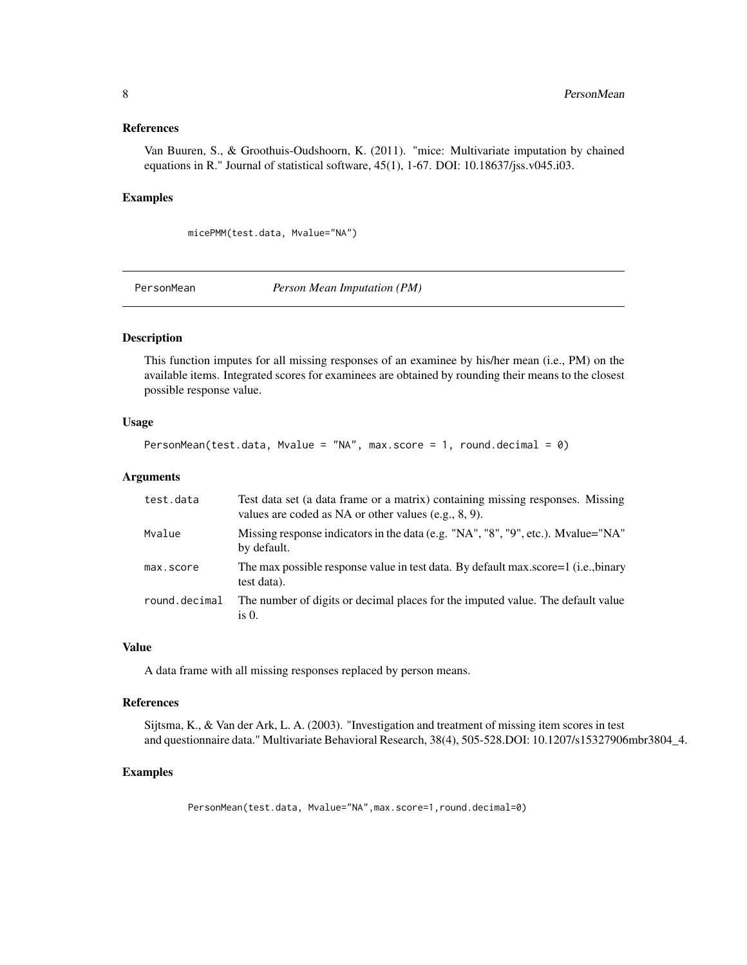#### <span id="page-7-0"></span>References

Van Buuren, S., & Groothuis-Oudshoorn, K. (2011). "mice: Multivariate imputation by chained equations in R." Journal of statistical software, 45(1), 1-67. DOI: 10.18637/jss.v045.i03.

#### Examples

micePMM(test.data, Mvalue="NA")

PersonMean *Person Mean Imputation (PM)*

#### Description

This function imputes for all missing responses of an examinee by his/her mean (i.e., PM) on the available items. Integrated scores for examinees are obtained by rounding their means to the closest possible response value.

#### Usage

```
PersonMean(test.data, Mvalue = "NA", max.score = 1, round.decimal = 0)
```
#### Arguments

| test.data     | Test data set (a data frame or a matrix) containing missing responses. Missing<br>values are coded as NA or other values $(e.g., 8, 9)$ . |
|---------------|-------------------------------------------------------------------------------------------------------------------------------------------|
| Mvalue        | Missing response indicators in the data (e.g. "NA", "8", "9", etc.). Myalue="NA"<br>by default.                                           |
| max.score     | The max possible response value in test data. By default max.score=1 (i.e., binary<br>test data).                                         |
| round.decimal | The number of digits or decimal places for the imputed value. The default value<br>is $\theta$ .                                          |

#### Value

A data frame with all missing responses replaced by person means.

#### References

Sijtsma, K., & Van der Ark, L. A. (2003). "Investigation and treatment of missing item scores in test and questionnaire data." Multivariate Behavioral Research, 38(4), 505-528.DOI: 10.1207/s15327906mbr3804\_4.

#### Examples

PersonMean(test.data, Mvalue="NA",max.score=1,round.decimal=0)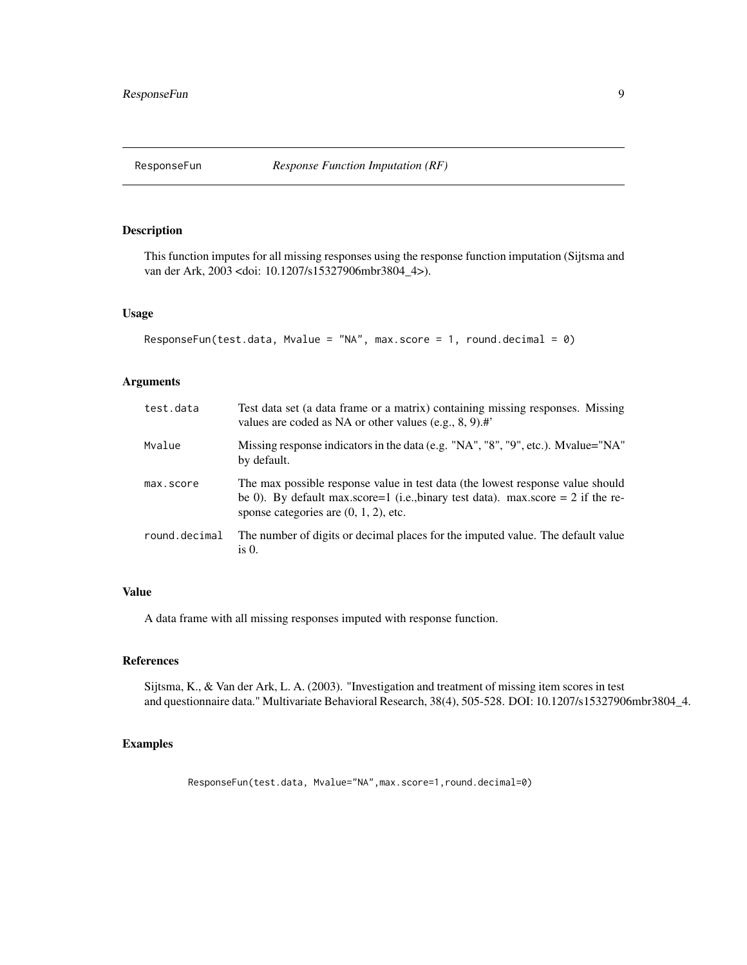<span id="page-8-0"></span>

This function imputes for all missing responses using the response function imputation (Sijtsma and van der Ark, 2003 <doi: 10.1207/s15327906mbr3804\_4>).

#### Usage

```
ResponseFun(test.data, Mvalue = "NA", max.score = 1, round.decimal = 0)
```
#### Arguments

| test.data     | Test data set (a data frame or a matrix) containing missing responses. Missing<br>values are coded as NA or other values (e.g., $8, 9$ ).#                                                                     |
|---------------|----------------------------------------------------------------------------------------------------------------------------------------------------------------------------------------------------------------|
| Mvalue        | Missing response indicators in the data (e.g. "NA", "8", "9", etc.). Mvalue="NA"<br>by default.                                                                                                                |
| max.score     | The max possible response value in test data (the lowest response value should<br>be 0). By default max.score=1 (i.e., binary test data). max.score = 2 if the re-<br>sponse categories are $(0, 1, 2)$ , etc. |
| round.decimal | The number of digits or decimal places for the imputed value. The default value<br>is $0$ .                                                                                                                    |

#### Value

A data frame with all missing responses imputed with response function.

#### References

Sijtsma, K., & Van der Ark, L. A. (2003). "Investigation and treatment of missing item scores in test and questionnaire data." Multivariate Behavioral Research, 38(4), 505-528. DOI: 10.1207/s15327906mbr3804\_4.

#### Examples

ResponseFun(test.data, Mvalue="NA",max.score=1,round.decimal=0)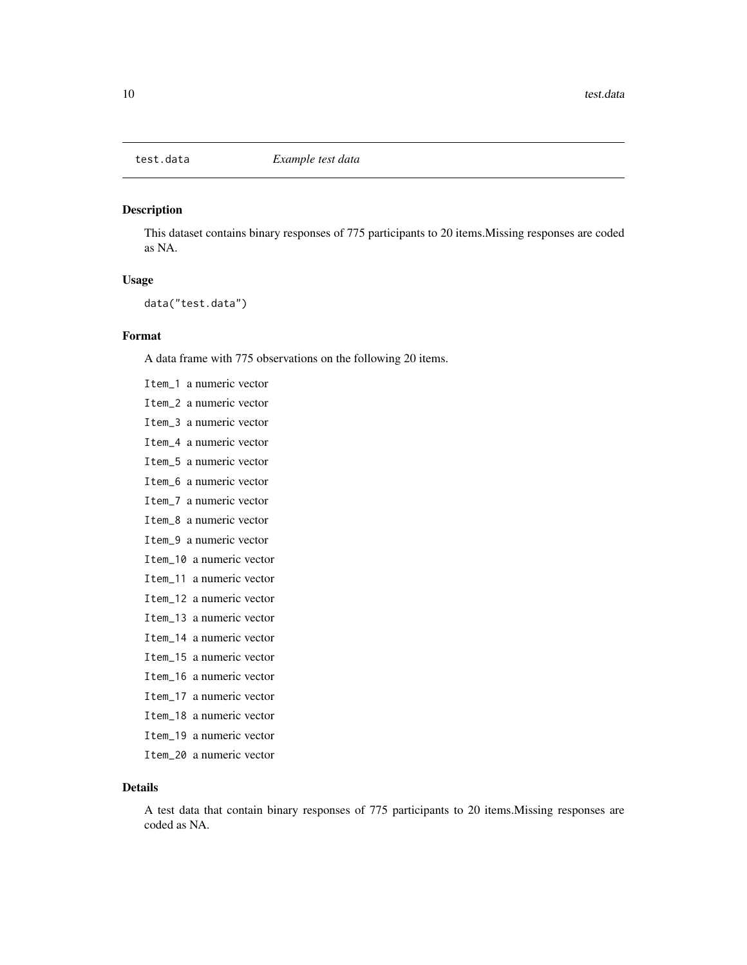<span id="page-9-0"></span>

This dataset contains binary responses of 775 participants to 20 items.Missing responses are coded as NA.

#### Usage

data("test.data")

#### Format

A data frame with 775 observations on the following 20 items.

Item\_1 a numeric vector Item\_2 a numeric vector Item\_3 a numeric vector Item\_4 a numeric vector Item\_5 a numeric vector Item\_6 a numeric vector Item\_7 a numeric vector Item\_8 a numeric vector Item\_9 a numeric vector Item\_10 a numeric vector Item\_11 a numeric vector Item\_12 a numeric vector Item\_13 a numeric vector Item\_14 a numeric vector Item\_15 a numeric vector Item\_16 a numeric vector Item\_17 a numeric vector Item\_18 a numeric vector Item\_19 a numeric vector

Item\_20 a numeric vector

#### Details

A test data that contain binary responses of 775 participants to 20 items.Missing responses are coded as NA.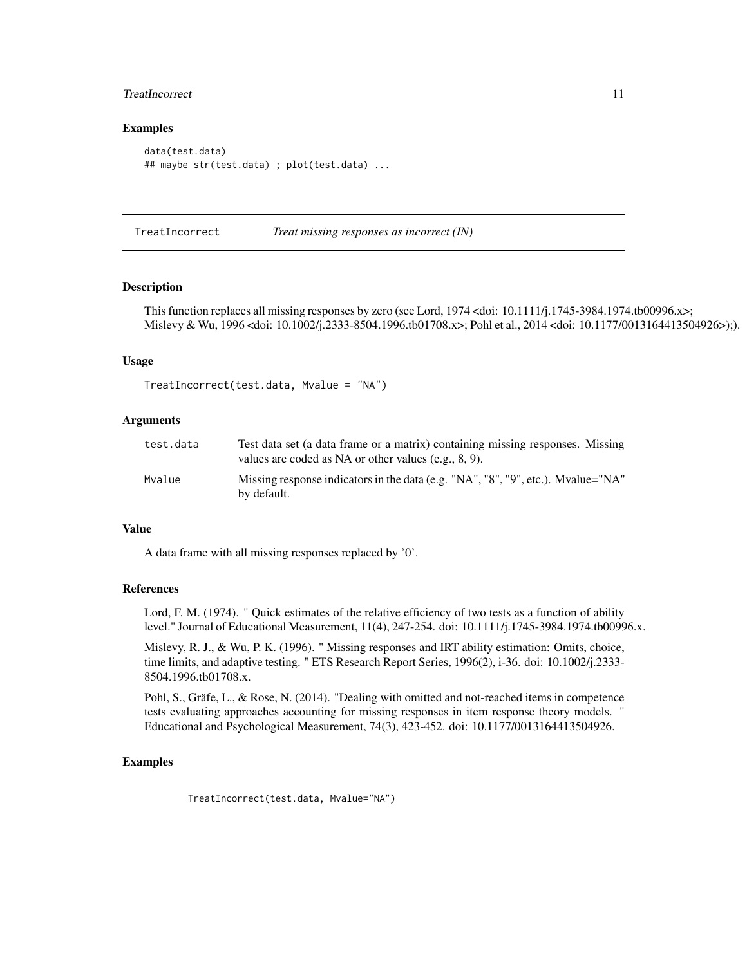#### <span id="page-10-0"></span>TreatIncorrect 11

#### Examples

```
data(test.data)
## maybe str(test.data) ; plot(test.data) ...
```
TreatIncorrect *Treat missing responses as incorrect (IN)*

#### **Description**

This function replaces all missing responses by zero (see Lord, 1974 <doi: 10.1111/j.1745-3984.1974.tb00996.x>; Mislevy & Wu, 1996 <doi: 10.1002/j.2333-8504.1996.tb01708.x>; Pohl et al., 2014 <doi: 10.1177/0013164413504926>);).

#### Usage

```
TreatIncorrect(test.data, Mvalue = "NA")
```
#### Arguments

| test.data | Test data set (a data frame or a matrix) containing missing responses. Missing<br>values are coded as NA or other values (e.g., $8, 9$ ). |
|-----------|-------------------------------------------------------------------------------------------------------------------------------------------|
| Mvalue    | Missing response indicators in the data (e.g. "NA", "8", "9", etc.). Mvalue="NA"<br>by default.                                           |

#### Value

A data frame with all missing responses replaced by '0'.

#### References

Lord, F. M. (1974). " Quick estimates of the relative efficiency of two tests as a function of ability level." Journal of Educational Measurement, 11(4), 247-254. doi: 10.1111/j.1745-3984.1974.tb00996.x.

Mislevy, R. J., & Wu, P. K. (1996). " Missing responses and IRT ability estimation: Omits, choice, time limits, and adaptive testing. " ETS Research Report Series, 1996(2), i-36. doi: 10.1002/j.2333- 8504.1996.tb01708.x.

Pohl, S., Gräfe, L., & Rose, N. (2014). "Dealing with omitted and not-reached items in competence tests evaluating approaches accounting for missing responses in item response theory models. " Educational and Psychological Measurement, 74(3), 423-452. doi: 10.1177/0013164413504926.

#### Examples

TreatIncorrect(test.data, Mvalue="NA")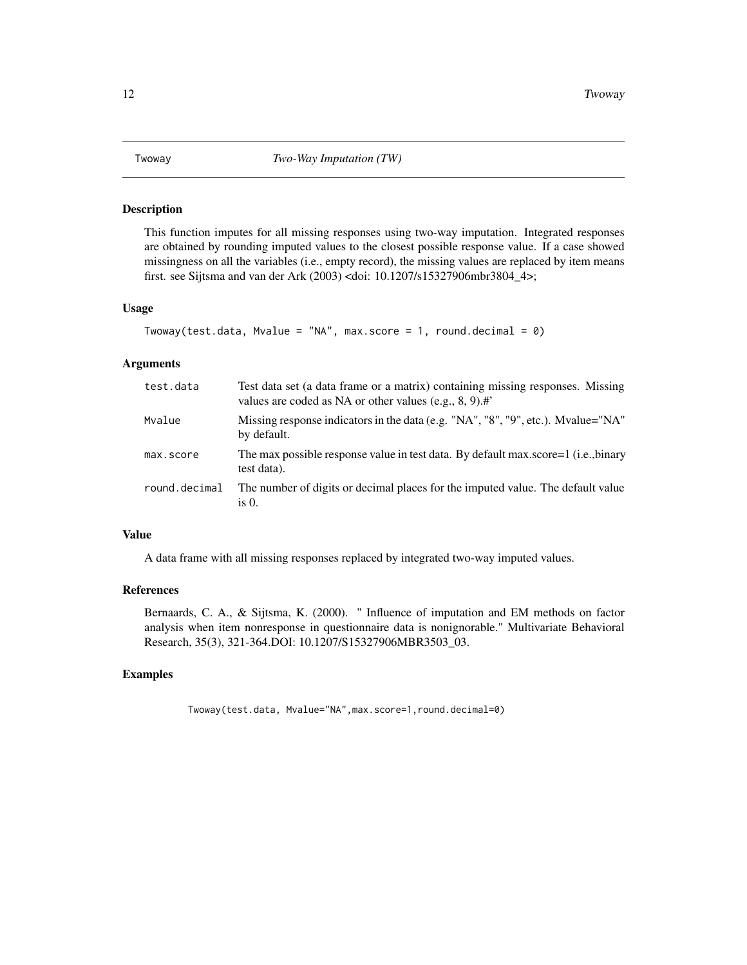<span id="page-11-0"></span>This function imputes for all missing responses using two-way imputation. Integrated responses are obtained by rounding imputed values to the closest possible response value. If a case showed missingness on all the variables (i.e., empty record), the missing values are replaced by item means first. see Sijtsma and van der Ark (2003) <doi: 10.1207/s15327906mbr3804\_4>;

#### Usage

```
Twoway(test.data, Mvalue = "NA", max.score = 1, round.decimal = 0)
```
#### Arguments

| test.data     | Test data set (a data frame or a matrix) containing missing responses. Missing<br>values are coded as NA or other values (e.g., $8, 9$ ).# |
|---------------|--------------------------------------------------------------------------------------------------------------------------------------------|
| Mvalue        | Missing response indicators in the data (e.g. "NA", "8", "9", etc.). Myalue="NA"<br>by default.                                            |
| max.score     | The max possible response value in test data. By default max score=1 (i.e., binary<br>test data).                                          |
| round.decimal | The number of digits or decimal places for the imputed value. The default value<br>is $0$ .                                                |

#### Value

A data frame with all missing responses replaced by integrated two-way imputed values.

#### References

Bernaards, C. A., & Sijtsma, K. (2000). " Influence of imputation and EM methods on factor analysis when item nonresponse in questionnaire data is nonignorable." Multivariate Behavioral Research, 35(3), 321-364.DOI: 10.1207/S15327906MBR3503\_03.

#### Examples

Twoway(test.data, Mvalue="NA",max.score=1,round.decimal=0)